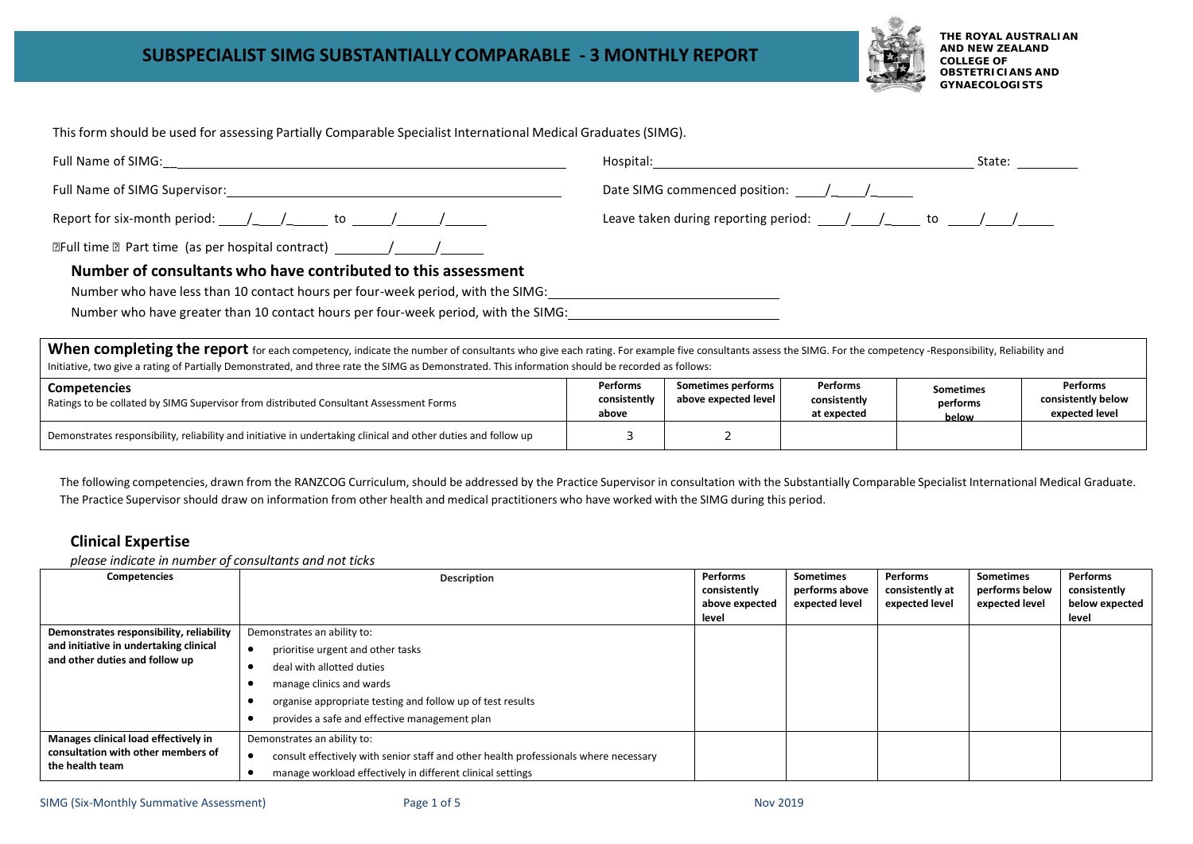

**THE ROYAL AUSTRALIAN AND NEW ZEALAND COLLEGE OF OBSTETRICIANS AND GYNAECOLOGISTS**

This form should be used for assessing Partially Comparable Specialist International Medical Graduates(SIMG).

|                                                                                                                                                                                                                               |                                                                                                                                                                                                                                                                                                                                                                                                      | State: |
|-------------------------------------------------------------------------------------------------------------------------------------------------------------------------------------------------------------------------------|------------------------------------------------------------------------------------------------------------------------------------------------------------------------------------------------------------------------------------------------------------------------------------------------------------------------------------------------------------------------------------------------------|--------|
|                                                                                                                                                                                                                               | Date SIMG commenced position: $\frac{1}{\sqrt{1-\frac{1}{2}}}\frac{1}{\sqrt{1-\frac{1}{2}}}\frac{1}{\sqrt{1-\frac{1}{2}}}\frac{1}{\sqrt{1-\frac{1}{2}}}\frac{1}{\sqrt{1-\frac{1}{2}}}\frac{1}{\sqrt{1-\frac{1}{2}}}\frac{1}{\sqrt{1-\frac{1}{2}}}\frac{1}{\sqrt{1-\frac{1}{2}}}\frac{1}{\sqrt{1-\frac{1}{2}}}\frac{1}{\sqrt{1-\frac{1}{2}}}\frac{1}{\sqrt{1-\frac{1}{2}}}\frac{1}{\sqrt{1-\frac{1}{$ |        |
| Report for six-month period: $1/2$ to $1/2$ to $1/2$                                                                                                                                                                          | Leave taken during reporting period: $\frac{1}{\sqrt{1-\frac{1}{2}}}$ to $\frac{1}{\sqrt{1-\frac{1}{2}}}$                                                                                                                                                                                                                                                                                            |        |
|                                                                                                                                                                                                                               |                                                                                                                                                                                                                                                                                                                                                                                                      |        |
| Number of consultants who have contributed to this assessment                                                                                                                                                                 |                                                                                                                                                                                                                                                                                                                                                                                                      |        |
| Number who have less than 10 contact hours per four-week period, with the SIMG:                                                                                                                                               |                                                                                                                                                                                                                                                                                                                                                                                                      |        |
| Number who have greater than 10 contact hours per four-week period, with the SIMG:                                                                                                                                            |                                                                                                                                                                                                                                                                                                                                                                                                      |        |
| Whon complating the renart construction with the construction of the complete the construction of the construction of the construction of the construction of the construction of the construction of the construction of the |                                                                                                                                                                                                                                                                                                                                                                                                      |        |

When completing the report for each competency, indicate the number of consultants who give each rating. For example five consultants assess the SIMG. For the competency -Responsibility, Reliability and Initiative, two give a rating of Partially Demonstrated, and three rate the SIMG as Demonstrated. This information should be recorded as follows:

| <b>Competencies</b><br>Ratings to be collated by SIMG Supervisor from distributed Consultant Assessment Forms  | Performs<br>consistently<br>above | Sometimes performs  <br>above expected level | Performs<br>consistently<br>at expected | <b>Sometimes</b><br>performs<br>below | <b>Performs</b><br>consistently below<br>expected level |
|----------------------------------------------------------------------------------------------------------------|-----------------------------------|----------------------------------------------|-----------------------------------------|---------------------------------------|---------------------------------------------------------|
| Demonstrates responsibility, reliability and initiative in undertaking clinical and other duties and follow up |                                   |                                              |                                         |                                       |                                                         |

The following competencies, drawn from the RANZCOG Curriculum, should be addressed by the Practice Supervisor in consultation with the Substantially Comparable Specialist International Medical Graduate. The Practice Supervisor should draw on information from other health and medical practitioners who have worked with the SIMG during this period.

#### **Clinical Expertise**

*please indicate in number of consultants and not ticks*

| Competencies                                                             | Description                                                                          | Performs<br>consistently | <b>Sometimes</b><br>performs above | Performs<br>consistently at | <b>Sometimes</b><br>performs below | Performs<br>consistently |
|--------------------------------------------------------------------------|--------------------------------------------------------------------------------------|--------------------------|------------------------------------|-----------------------------|------------------------------------|--------------------------|
|                                                                          |                                                                                      | above expected           | expected level                     | expected level              | expected level                     | below expected<br>level  |
| Demonstrates responsibility, reliability                                 | Demonstrates an ability to:                                                          | level                    |                                    |                             |                                    |                          |
| and initiative in undertaking clinical<br>and other duties and follow up | prioritise urgent and other tasks                                                    |                          |                                    |                             |                                    |                          |
|                                                                          | deal with allotted duties                                                            |                          |                                    |                             |                                    |                          |
|                                                                          | manage clinics and wards                                                             |                          |                                    |                             |                                    |                          |
| organise appropriate testing and follow up of test results               |                                                                                      |                          |                                    |                             |                                    |                          |
|                                                                          | provides a safe and effective management plan                                        |                          |                                    |                             |                                    |                          |
| Manages clinical load effectively in                                     | Demonstrates an ability to:                                                          |                          |                                    |                             |                                    |                          |
| consultation with other members of                                       | consult effectively with senior staff and other health professionals where necessary |                          |                                    |                             |                                    |                          |
| the health team                                                          | manage workload effectively in different clinical settings                           |                          |                                    |                             |                                    |                          |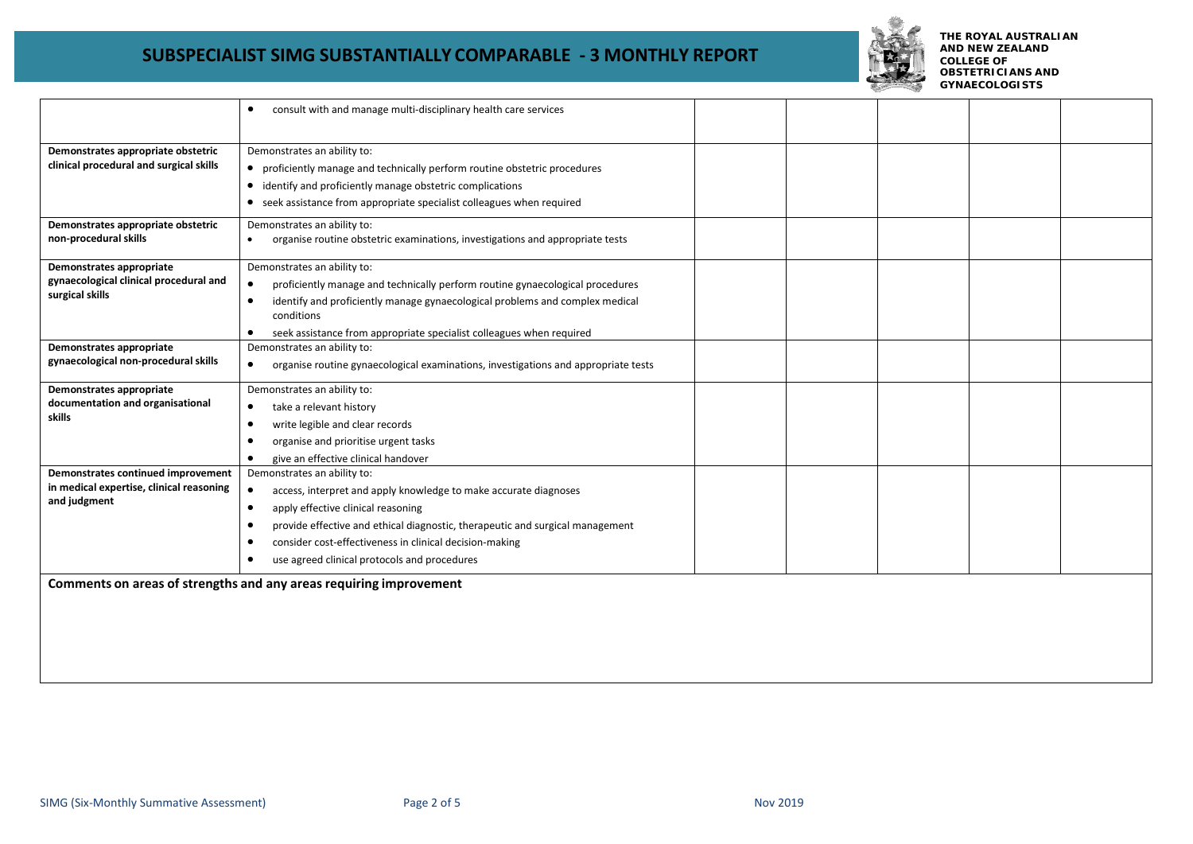

**THE ROYAL AUSTRALIAN AND NEW ZEALAND COLLEGE OF OBSTETRICIANS AND GYNAECOLOGISTS**

|                                                                                                | consult with and manage multi-disciplinary health care services<br>$\bullet$                                                                                                                                                                                                                                                                                                          |  |  |  |
|------------------------------------------------------------------------------------------------|---------------------------------------------------------------------------------------------------------------------------------------------------------------------------------------------------------------------------------------------------------------------------------------------------------------------------------------------------------------------------------------|--|--|--|
| Demonstrates appropriate obstetric<br>clinical procedural and surgical skills                  | Demonstrates an ability to:<br>• proficiently manage and technically perform routine obstetric procedures<br>• identify and proficiently manage obstetric complications<br>• seek assistance from appropriate specialist colleagues when required                                                                                                                                     |  |  |  |
| Demonstrates appropriate obstetric<br>non-procedural skills                                    | Demonstrates an ability to:<br>organise routine obstetric examinations, investigations and appropriate tests<br>$\bullet$                                                                                                                                                                                                                                                             |  |  |  |
| Demonstrates appropriate<br>gynaecological clinical procedural and<br>surgical skills          | Demonstrates an ability to:<br>proficiently manage and technically perform routine gynaecological procedures<br>$\bullet$<br>identify and proficiently manage gynaecological problems and complex medical<br>$\bullet$<br>conditions<br>seek assistance from appropriate specialist colleagues when required<br>$\bullet$                                                             |  |  |  |
| Demonstrates appropriate<br>gynaecological non-procedural skills                               | Demonstrates an ability to:<br>organise routine gynaecological examinations, investigations and appropriate tests<br>$\bullet$                                                                                                                                                                                                                                                        |  |  |  |
| Demonstrates appropriate<br>documentation and organisational<br>skills                         | Demonstrates an ability to:<br>take a relevant history<br>$\bullet$<br>write legible and clear records<br>٠<br>organise and prioritise urgent tasks<br>give an effective clinical handover<br>$\bullet$                                                                                                                                                                               |  |  |  |
| Demonstrates continued improvement<br>in medical expertise, clinical reasoning<br>and judgment | Demonstrates an ability to:<br>$\bullet$<br>access, interpret and apply knowledge to make accurate diagnoses<br>apply effective clinical reasoning<br>$\bullet$<br>provide effective and ethical diagnostic, therapeutic and surgical management<br>consider cost-effectiveness in clinical decision-making<br>$\bullet$<br>use agreed clinical protocols and procedures<br>$\bullet$ |  |  |  |
|                                                                                                | Comments on areas of strengths and any areas requiring improvement                                                                                                                                                                                                                                                                                                                    |  |  |  |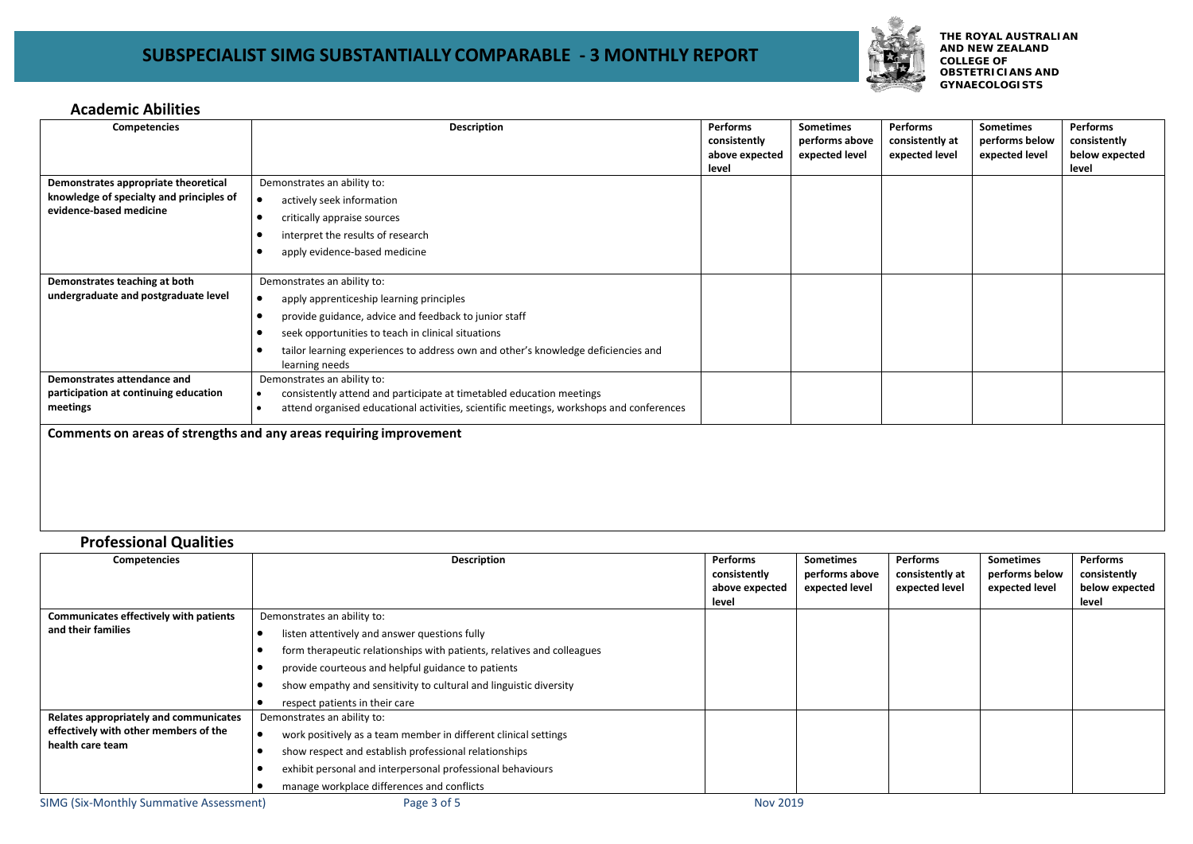

**THE ROYAL AUSTRALIAN AND NEW ZEALAND COLLEGE OF OBSTETRICIANS AND GYNAECOLOGISTS**

#### **Academic Abilities**

| Competencies                                                                                                | <b>Description</b>                                                                                                                                                                                                                                                                                 | Performs<br>consistently<br>above expected<br>level | <b>Sometimes</b><br>performs above<br>expected level | <b>Performs</b><br>consistently at<br>expected level | <b>Sometimes</b><br>performs below<br>expected level | Performs<br>consistently<br>below expected<br>level |
|-------------------------------------------------------------------------------------------------------------|----------------------------------------------------------------------------------------------------------------------------------------------------------------------------------------------------------------------------------------------------------------------------------------------------|-----------------------------------------------------|------------------------------------------------------|------------------------------------------------------|------------------------------------------------------|-----------------------------------------------------|
| Demonstrates appropriate theoretical<br>knowledge of specialty and principles of<br>evidence-based medicine | Demonstrates an ability to:<br>actively seek information<br>$\bullet$<br>critically appraise sources<br>interpret the results of research<br>apply evidence-based medicine                                                                                                                         |                                                     |                                                      |                                                      |                                                      |                                                     |
| Demonstrates teaching at both<br>undergraduate and postgraduate level                                       | Demonstrates an ability to:<br>apply apprenticeship learning principles<br>٠<br>provide guidance, advice and feedback to junior staff<br>seek opportunities to teach in clinical situations<br>tailor learning experiences to address own and other's knowledge deficiencies and<br>learning needs |                                                     |                                                      |                                                      |                                                      |                                                     |
| Demonstrates attendance and<br>participation at continuing education<br>meetings                            | Demonstrates an ability to:<br>consistently attend and participate at timetabled education meetings<br>$\bullet$<br>attend organised educational activities, scientific meetings, workshops and conferences                                                                                        |                                                     |                                                      |                                                      |                                                      |                                                     |
|                                                                                                             | Comments on areas of strengths and any areas requiring improvement                                                                                                                                                                                                                                 |                                                     |                                                      |                                                      |                                                      |                                                     |

### **Professional Qualities**

| <b>Competencies</b>                            | <b>Description</b>                                                     | <b>Performs</b>                | Sometimes                        | <b>Performs</b>                   | <b>Sometimes</b>                 | <b>Performs</b>                |
|------------------------------------------------|------------------------------------------------------------------------|--------------------------------|----------------------------------|-----------------------------------|----------------------------------|--------------------------------|
|                                                |                                                                        | consistently<br>above expected | performs above<br>expected level | consistently at<br>expected level | performs below<br>expected level | consistently<br>below expected |
|                                                |                                                                        | level                          |                                  |                                   |                                  | level                          |
| <b>Communicates effectively with patients</b>  | Demonstrates an ability to:                                            |                                |                                  |                                   |                                  |                                |
| and their families                             | listen attentively and answer questions fully                          |                                |                                  |                                   |                                  |                                |
|                                                | form therapeutic relationships with patients, relatives and colleagues |                                |                                  |                                   |                                  |                                |
|                                                | provide courteous and helpful guidance to patients                     |                                |                                  |                                   |                                  |                                |
|                                                | show empathy and sensitivity to cultural and linguistic diversity      |                                |                                  |                                   |                                  |                                |
|                                                | respect patients in their care                                         |                                |                                  |                                   |                                  |                                |
| Relates appropriately and communicates         | Demonstrates an ability to:                                            |                                |                                  |                                   |                                  |                                |
| effectively with other members of the          | work positively as a team member in different clinical settings        |                                |                                  |                                   |                                  |                                |
| health care team                               | show respect and establish professional relationships                  |                                |                                  |                                   |                                  |                                |
|                                                | exhibit personal and interpersonal professional behaviours             |                                |                                  |                                   |                                  |                                |
|                                                | manage workplace differences and conflicts                             |                                |                                  |                                   |                                  |                                |
| <b>SIMG (Six-Monthly Summative Assessment)</b> | Page 3 of 5                                                            | <b>Nov 2019</b>                |                                  |                                   |                                  |                                |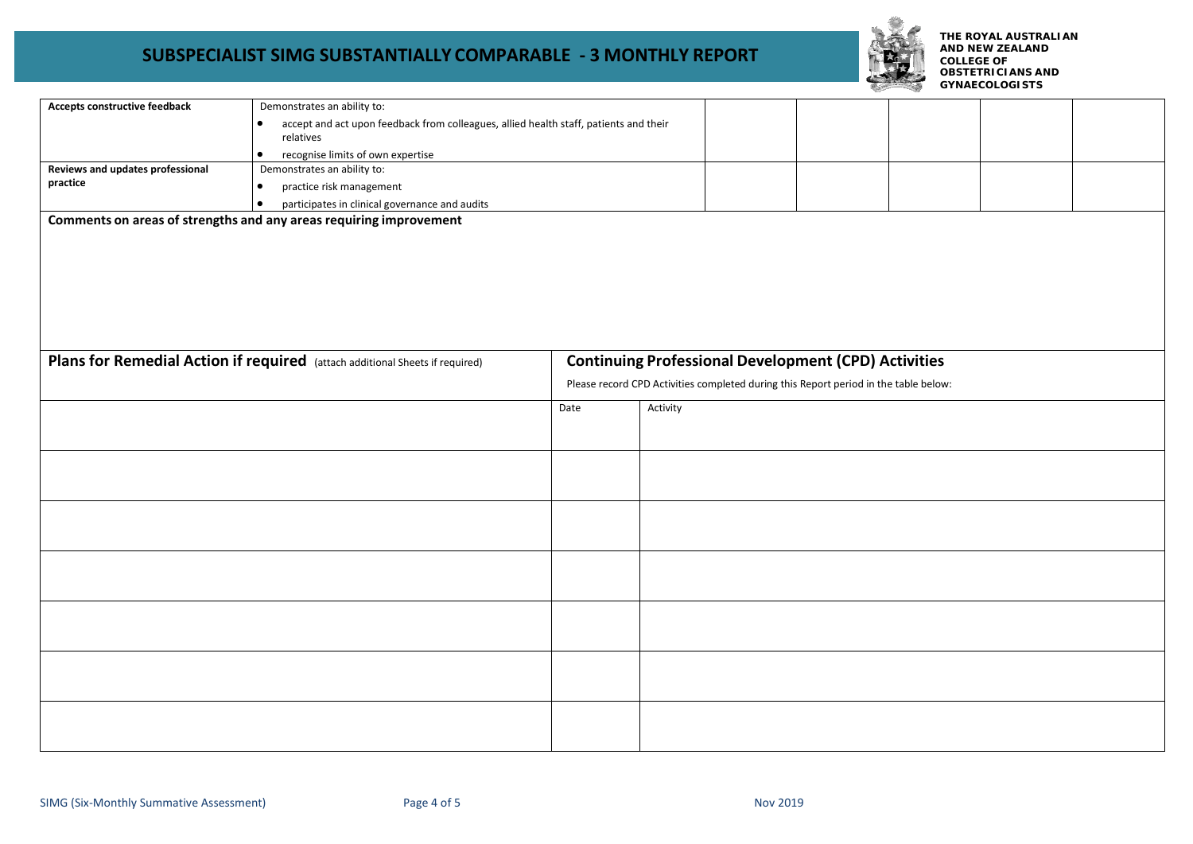

**THE ROYAL AUSTRALIAN AND NEW ZEALAND COLLEGE OF OBSTETRICIANS AND GYNAECOLOGISTS**

| Accepts constructive feedback                                      | Demonstrates an ability to:                                                                |      |                                                                                      |  |  |  |  |
|--------------------------------------------------------------------|--------------------------------------------------------------------------------------------|------|--------------------------------------------------------------------------------------|--|--|--|--|
|                                                                    | accept and act upon feedback from colleagues, allied health staff, patients and their<br>٠ |      |                                                                                      |  |  |  |  |
|                                                                    | relatives                                                                                  |      |                                                                                      |  |  |  |  |
|                                                                    | recognise limits of own expertise<br>$\bullet$                                             |      |                                                                                      |  |  |  |  |
| Reviews and updates professional                                   | Demonstrates an ability to:                                                                |      |                                                                                      |  |  |  |  |
| practice                                                           | practice risk management<br>$\bullet$                                                      |      |                                                                                      |  |  |  |  |
|                                                                    | participates in clinical governance and audits<br>$\bullet$                                |      |                                                                                      |  |  |  |  |
| Comments on areas of strengths and any areas requiring improvement |                                                                                            |      |                                                                                      |  |  |  |  |
|                                                                    |                                                                                            |      |                                                                                      |  |  |  |  |
|                                                                    |                                                                                            |      |                                                                                      |  |  |  |  |
|                                                                    |                                                                                            |      |                                                                                      |  |  |  |  |
|                                                                    |                                                                                            |      |                                                                                      |  |  |  |  |
|                                                                    |                                                                                            |      |                                                                                      |  |  |  |  |
|                                                                    |                                                                                            |      |                                                                                      |  |  |  |  |
|                                                                    |                                                                                            |      |                                                                                      |  |  |  |  |
|                                                                    |                                                                                            |      |                                                                                      |  |  |  |  |
|                                                                    |                                                                                            |      |                                                                                      |  |  |  |  |
|                                                                    | Plans for Remedial Action if required (attach additional Sheets if required)               |      | <b>Continuing Professional Development (CPD) Activities</b>                          |  |  |  |  |
|                                                                    |                                                                                            |      | Please record CPD Activities completed during this Report period in the table below: |  |  |  |  |
|                                                                    |                                                                                            | Date | Activity                                                                             |  |  |  |  |
|                                                                    |                                                                                            |      |                                                                                      |  |  |  |  |
|                                                                    |                                                                                            |      |                                                                                      |  |  |  |  |
|                                                                    |                                                                                            |      |                                                                                      |  |  |  |  |
|                                                                    |                                                                                            |      |                                                                                      |  |  |  |  |
|                                                                    |                                                                                            |      |                                                                                      |  |  |  |  |
|                                                                    |                                                                                            |      |                                                                                      |  |  |  |  |
|                                                                    |                                                                                            |      |                                                                                      |  |  |  |  |
|                                                                    |                                                                                            |      |                                                                                      |  |  |  |  |
|                                                                    |                                                                                            |      |                                                                                      |  |  |  |  |
|                                                                    |                                                                                            |      |                                                                                      |  |  |  |  |
|                                                                    |                                                                                            |      |                                                                                      |  |  |  |  |
|                                                                    |                                                                                            |      |                                                                                      |  |  |  |  |
|                                                                    |                                                                                            |      |                                                                                      |  |  |  |  |
|                                                                    |                                                                                            |      |                                                                                      |  |  |  |  |
|                                                                    |                                                                                            |      |                                                                                      |  |  |  |  |
|                                                                    |                                                                                            |      |                                                                                      |  |  |  |  |
|                                                                    |                                                                                            |      |                                                                                      |  |  |  |  |
|                                                                    |                                                                                            |      |                                                                                      |  |  |  |  |
|                                                                    |                                                                                            |      |                                                                                      |  |  |  |  |
|                                                                    |                                                                                            |      |                                                                                      |  |  |  |  |
|                                                                    |                                                                                            |      |                                                                                      |  |  |  |  |
|                                                                    |                                                                                            |      |                                                                                      |  |  |  |  |